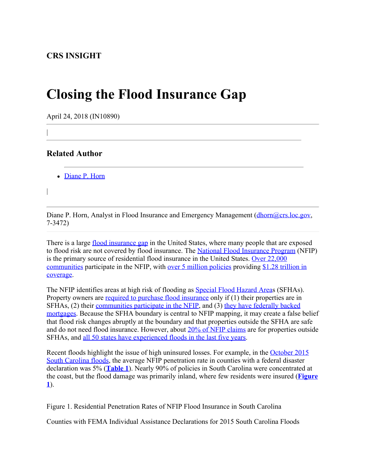## **Closing the Flood Insurance Gap**

April 24, 2018 (IN10890)

## **Related Author**

|

|

• [Diane P. Horn](http://www.crs.gov/Author/index?id=105200)

Diane P. Horn, Analyst in Flood Insurance and Emergency Management  $(d$ horn $@$ crs.loc.gov, 7-3472)

There is a large [flood insurance gap](https://www.uphelp.org/sites/default/files/blog/faci_2.22.18_fema_presentation.pdf) in the United States, where many people that are exposed to flood risk are not covered by flood insurance. The [National Flood Insurance Program](https://fas.org/sgp/crs/homesec/R44593.pdf) (NFIP) is the primary source of residential flood insurance in the United States. [Over 22,000](https://bsa.nfipstat.fema.gov/reports/1011.htm) [communities](https://bsa.nfipstat.fema.gov/reports/1011.htm) participate in the NFIP, with [over 5 million policies](https://www.fema.gov/policies-force-month) providing [\\$1.28 trillion in](https://www.fema.gov/insurance-force-month) [coverage](https://www.fema.gov/insurance-force-month).

The NFIP identifies areas at high risk of flooding as [Special Flood Hazard Area](https://www.fema.gov/special-flood-hazard-area)s (SFHAs). Property owners are [required to purchase flood insurance](https://www.fema.gov/faq-details/Mandatory-Purchase-of-NFIP-Coverage/) only if (1) their properties are in SFHAs, (2) their [communities participate in the NFIP](https://www.fema.gov/national-flood-insurance-program-community-status-book), and (3) [they have federally](http://uscode.house.gov/view.xhtml?req=(title:42%20section:4012a%20edition:prelim)%20OR%20(granuleid:USC-prelim-title42-section4012a)&f=treesort&edition=prelim&num=0&jumpTo=true) [backed](http://uscode.house.gov/view.xhtml?req=(title:42%20section:4012a%20edition:prelim)%20OR%20(granuleid:USC-prelim-title42-section4012a)&f=treesort&edition=prelim&num=0&jumpTo=true) [mortgages](http://uscode.house.gov/view.xhtml?req=(title:42%20section:4012a%20edition:prelim)%20OR%20(granuleid:USC-prelim-title42-section4012a)&f=treesort&edition=prelim&num=0&jumpTo=true). Because the SFHA boundary is central to NFIP mapping, it may create a false belief that flood risk changes abruptly at the boundary and that properties outside the SFHA are safe and do not need flood insurance. However, about [20% of NFIP claims](https://www.gao.gov/products/GAO-17-425) are for properties outside SFHAs, and [all 50 states have experienced floods in the last five years](https://www.fema.gov/media-library/assets/images/103646).

Recent floods highlight the issue of high uninsured losses. For example, in the [October 2015](https://www.fema.gov/disaster/4241) [South Carolina floods,](https://www.fema.gov/disaster/4241) the average NFIP penetration rate in counties with a federal disaster declaration was 5% (**[Table 1](http://www.crs.gov/Reports/IN10890?source=INLanding#_Ref511841680)**). Nearly 90% of policies in South Carolina were concentrated at the coast, but the flood damage was primarily inland, where few residents were insured (**[Figure](http://www.crs.gov/Reports/IN10890?source=INLanding#_Ref511057423) [1](http://www.crs.gov/Reports/IN10890?source=INLanding#_Ref511057423)**).

Figure 1. Residential Penetration Rates of NFIP Flood Insurance in South Carolina

Counties with FEMA Individual Assistance Declarations for 2015 South Carolina Floods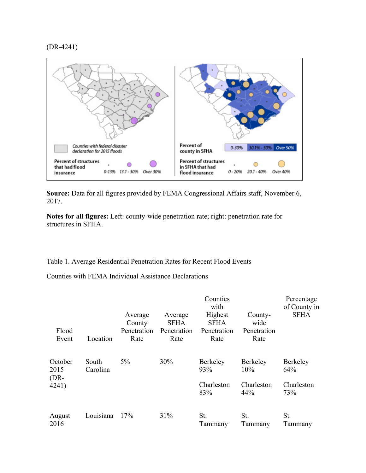## (DR-4241)



Source: Data for all figures provided by FEMA Congressional Affairs staff, November 6, 2017.

**Notes for all figures:** Left: county-wide penetration rate; right: penetration rate for structures in SFHA.

Table 1. Average Residential Penetration Rates for Recent Flood Events

Counties with FEMA Individual Assistance Declarations

| Flood<br>Event                     | Location          | Average<br>County<br>Penetration<br>Rate | Average<br><b>SFHA</b><br>Penetration<br>Rate | Counties<br>with<br>Highest<br><b>SFHA</b><br>Penetration<br>Rate | County-<br>wide<br>Penetration<br>Rate | Percentage<br>of County in<br><b>SFHA</b> |
|------------------------------------|-------------------|------------------------------------------|-----------------------------------------------|-------------------------------------------------------------------|----------------------------------------|-------------------------------------------|
| October<br>2015<br>$(DR-$<br>4241) | South<br>Carolina | $5\%$                                    | 30%                                           | <b>Berkeley</b><br>93%                                            | <b>Berkeley</b><br>10%                 | Berkeley<br>64%                           |
|                                    |                   |                                          |                                               | Charleston<br>83%                                                 | Charleston<br>44%                      | Charleston<br>73%                         |
| August<br>2016                     | Louisiana         | 17%                                      | 31%                                           | St.<br>Tammany                                                    | St.<br>Tammany                         | St.<br>Tammany                            |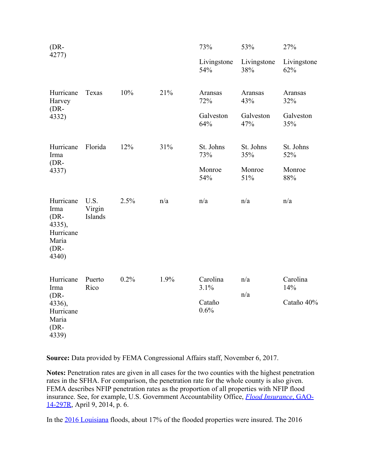| $(DR-$<br>4277)                                                                |                           |      |      | 73%                                | 53%                                | 27%                                |
|--------------------------------------------------------------------------------|---------------------------|------|------|------------------------------------|------------------------------------|------------------------------------|
|                                                                                |                           |      |      | Livingstone<br>54%                 | Livingstone<br>38%                 | Livingstone<br>62%                 |
| Hurricane<br>Harvey<br>$(DR-$<br>4332)                                         | Texas                     | 10%  | 21%  | Aransas<br>72%<br>Galveston<br>64% | Aransas<br>43%<br>Galveston<br>47% | Aransas<br>32%<br>Galveston<br>35% |
| Hurricane<br>Irma<br>$(DR-$<br>4337)                                           | Florida                   | 12%  | 31%  | St. Johns<br>73%<br>Monroe<br>54%  | St. Johns<br>35%<br>Monroe<br>51%  | St. Johns<br>52%<br>Monroe<br>88%  |
| Hurricane<br>Irma<br>$(DR-$<br>4335),<br>Hurricane<br>Maria<br>$(DR-$<br>4340) | U.S.<br>Virgin<br>Islands | 2.5% | n/a  | n/a                                | n/a                                | n/a                                |
| Hurricane<br>Irma<br>$(DR-$<br>4336),<br>Hurricane<br>Maria<br>$(DR-$<br>4339) | Puerto<br>Rico            | 0.2% | 1.9% | Carolina<br>3.1%<br>Cataño<br>0.6% | n/a<br>n/a                         | Carolina<br>14%<br>Cataño 40%      |

**Source:** Data provided by FEMA Congressional Affairs staff, November 6, 2017.

**Notes:** Penetration rates are given in all cases for the two counties with the highest penetration rates in the SFHA. For comparison, the penetration rate for the whole county is also given. FEMA describes NFIP penetration rates as the proportion of all properties with NFIP flood insurance. See, for example, U.S. Government Accountability Office, *[Flood Insurance](https://www.gao.gov/assets/670/662438.pdf)*[, GAO-](https://www.gao.gov/assets/670/662438.pdf)[14-297R](https://www.gao.gov/assets/670/662438.pdf), April 9, 2014, p. 6.

In the [2016 Louisiana](https://www.fema.gov/disaster/4277) floods, about 17% of the flooded properties were insured. The 2016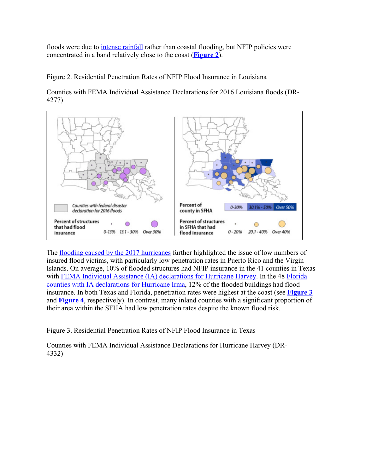floods were due to [intense rainfall](https://www.climate.gov/news-features/event-tracker/august-2016-extreme-rain-and-floods-along-gulf-coast) rather than coastal flooding, but NFIP policies were concentrated in a band relatively close to the coast (**[Figure 2](http://www.crs.gov/Reports/IN10890?source=INLanding#_Ref511899144)**).

Figure 2. Residential Penetration Rates of NFIP Flood Insurance in Louisiana

Counties with FEMA Individual Assistance Declarations for 2016 Louisiana floods (DR-4277)



The <u>flooding caused by the 2017 hurricanes</u> further highlighted the issue of low numbers of insured flood victims, with particularly low penetration rates in Puerto Rico and the Virgin Islands. On average, 10% of flooded structures had NFIP insurance in the 41 counties in Texas with [FEMA Individual Assistance \(IA\) declarations for Hurricane Harvey.](https://www.fema.gov/disaster/4332) In the 48 [Florida](https://www.fema.gov/disaster/4337) [counties with IA declarations for Hurricane Irma](https://www.fema.gov/disaster/4337), 12% of the flooded buildings had flood insurance. In both Texas and Florida, penetration rates were highest at the coast (see **[Figure 3](http://www.crs.gov/Reports/IN10890?source=INLanding#_Ref511058279)** and **[Figure 4](http://www.crs.gov/Reports/IN10890?source=INLanding#_Ref511058667)**, respectively). In contrast, many inland counties with a significant proportion of their area within the SFHA had low penetration rates despite the known flood risk.

Figure 3. Residential Penetration Rates of NFIP Flood Insurance in Texas

Counties with FEMA Individual Assistance Declarations for Hurricane Harvey (DR-4332)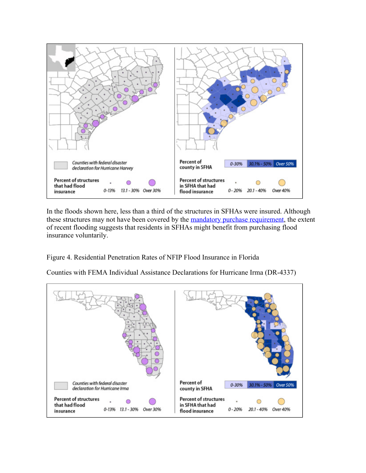

In the floods shown here, less than a third of the structures in SFHAs were insured. Although these structures may not have been covered by the **mandatory purchase requirement**, the extent of recent flooding suggests that residents in SFHAs might benefit from purchasing flood insurance voluntarily.

Figure 4. Residential Penetration Rates of NFIP Flood Insurance in Florida

Counties with FEMA Individual Assistance Declarations for Hurricane Irma (DR-4337)